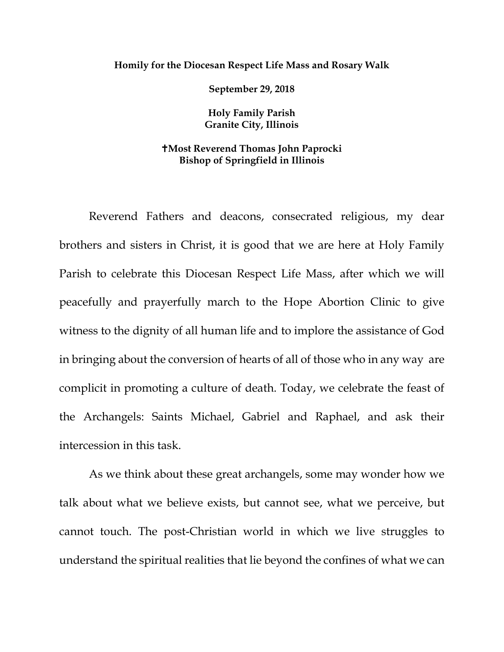## **Homily for the Diocesan Respect Life Mass and Rosary Walk**

**September 29, 2018**

**Holy Family Parish Granite City, Illinois**

## **Most Reverend Thomas John Paprocki Bishop of Springfield in Illinois**

Reverend Fathers and deacons, consecrated religious, my dear brothers and sisters in Christ, it is good that we are here at Holy Family Parish to celebrate this Diocesan Respect Life Mass, after which we will peacefully and prayerfully march to the Hope Abortion Clinic to give witness to the dignity of all human life and to implore the assistance of God in bringing about the conversion of hearts of all of those who in any way are complicit in promoting a culture of death. Today, we celebrate the feast of the Archangels: Saints Michael, Gabriel and Raphael, and ask their intercession in this task.

As we think about these great archangels, some may wonder how we talk about what we believe exists, but cannot see, what we perceive, but cannot touch. The post-Christian world in which we live struggles to understand the spiritual realities that lie beyond the confines of what we can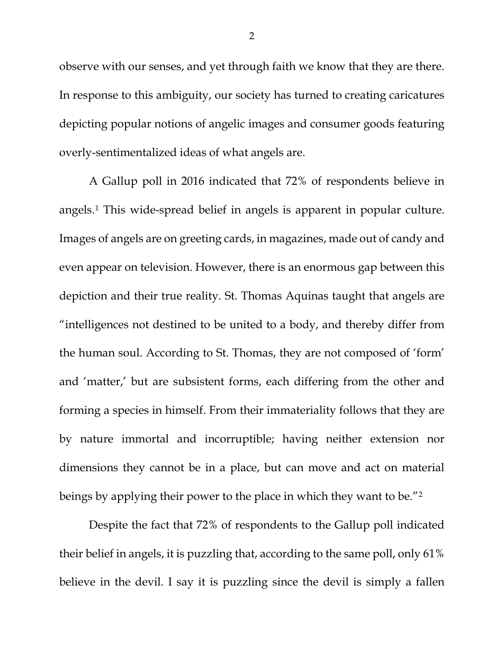observe with our senses, and yet through faith we know that they are there. In response to this ambiguity, our society has turned to creating caricatures depicting popular notions of angelic images and consumer goods featuring overly-sentimentalized ideas of what angels are.

A Gallup poll in 2016 indicated that 72% of respondents believe in angels.[1](#page-3-0) This wide-spread belief in angels is apparent in popular culture. Images of angels are on greeting cards, in magazines, made out of candy and even appear on television. However, there is an enormous gap between this depiction and their true reality. St. Thomas Aquinas taught that angels are "intelligences not destined to be united to a body, and thereby differ from the human soul. According to St. Thomas, they are not composed of 'form' and 'matter,' but are subsistent forms, each differing from the other and forming a species in himself. From their immateriality follows that they are by nature immortal and incorruptible; having neither extension nor dimensions they cannot be in a place, but can move and act on material beings by applying their power to the place in which they want to be."[2](#page-4-0)

Despite the fact that 72% of respondents to the Gallup poll indicated their belief in angels, it is puzzling that, according to the same poll, only 61% believe in the devil. I say it is puzzling since the devil is simply a fallen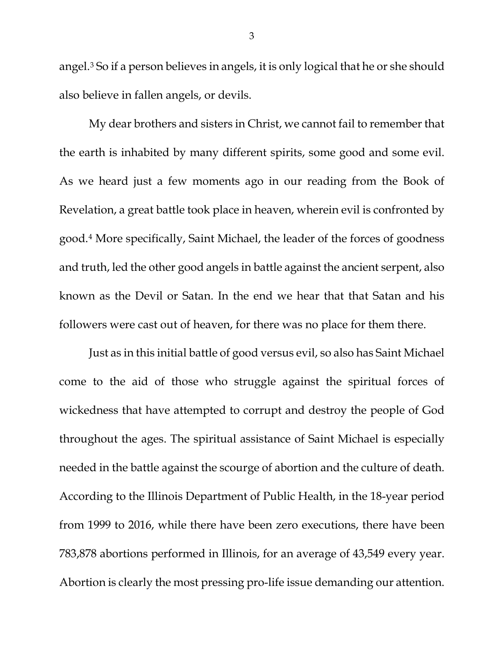angel.[3](#page-4-1) So if a person believes in angels, it is only logical that he or she should also believe in fallen angels, or devils.

My dear brothers and sisters in Christ, we cannot fail to remember that the earth is inhabited by many different spirits, some good and some evil. As we heard just a few moments ago in our reading from the Book of Revelation, a great battle took place in heaven, wherein evil is confronted by good.[4](#page-4-2) More specifically, Saint Michael, the leader of the forces of goodness and truth, led the other good angels in battle against the ancient serpent, also known as the Devil or Satan. In the end we hear that that Satan and his followers were cast out of heaven, for there was no place for them there.

Just as in this initial battle of good versus evil, so also has Saint Michael come to the aid of those who struggle against the spiritual forces of wickedness that have attempted to corrupt and destroy the people of God throughout the ages. The spiritual assistance of Saint Michael is especially needed in the battle against the scourge of abortion and the culture of death. According to the Illinois Department of Public Health, in the 18-year period from 1999 to 2016, while there have been zero executions, there have been 783,878 abortions performed in Illinois, for an average of 43,549 every year. Abortion is clearly the most pressing pro-life issue demanding our attention.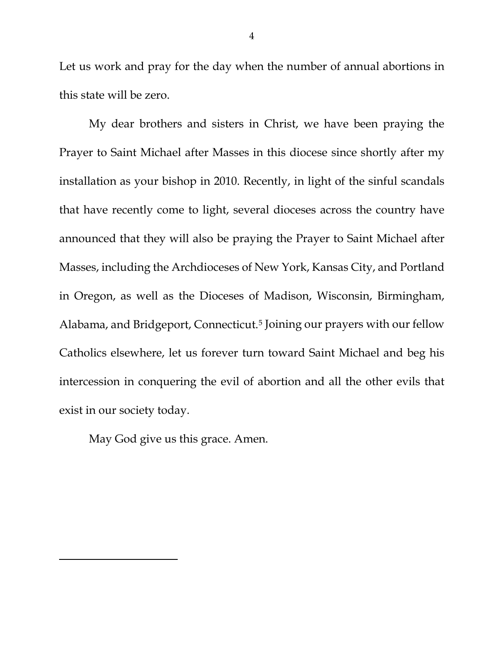Let us work and pray for the day when the number of annual abortions in this state will be zero.

My dear brothers and sisters in Christ, we have been praying the Prayer to Saint Michael after Masses in this diocese since shortly after my installation as your bishop in 2010. Recently, in light of the sinful scandals that have recently come to light, several dioceses across the country have announced that they will also be praying the Prayer to Saint Michael after Masses, including the Archdioceses of New York, Kansas City, and Portland in Oregon, as well as the Dioceses of Madison, Wisconsin, Birmingham, Alabama, and Bridgeport, Connecticut.[5](#page-4-3) Joining our prayers with our fellow Catholics elsewhere, let us forever turn toward Saint Michael and beg his intercession in conquering the evil of abortion and all the other evils that exist in our society today.

May God give us this grace. Amen.

<span id="page-3-0"></span>l